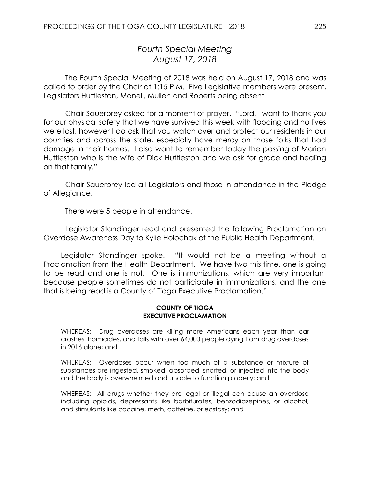# *Fourth Special Meeting August 17, 2018*

The Fourth Special Meeting of 2018 was held on August 17, 2018 and was called to order by the Chair at 1:15 P.M. Five Legislative members were present, Legislators Huttleston, Monell, Mullen and Roberts being absent.

Chair Sauerbrey asked for a moment of prayer. "Lord, I want to thank you for our physical safety that we have survived this week with flooding and no lives were lost, however I do ask that you watch over and protect our residents in our counties and across the state, especially have mercy on those folks that had damage in their homes. I also want to remember today the passing of Marian Huttleston who is the wife of Dick Huttleston and we ask for grace and healing on that family."

Chair Sauerbrey led all Legislators and those in attendance in the Pledge of Allegiance.

There were 5 people in attendance.

Legislator Standinger read and presented the following Proclamation on Overdose Awareness Day to Kylie Holochak of the Public Health Department.

Legislator Standinger spoke. "It would not be a meeting without a Proclamation from the Health Department. We have two this time, one is going to be read and one is not. One is immunizations, which are very important because people sometimes do not participate in immunizations, and the one that is being read is a County of Tioga Executive Proclamation."

#### **COUNTY OF TIOGA EXECUTIVE PROCLAMATION**

WHEREAS: Drug overdoses are killing more Americans each year than car crashes, homicides, and falls with over 64,000 people dying from drug overdoses in 2016 alone; and

WHEREAS: Overdoses occur when too much of a substance or mixture of substances are ingested, smoked, absorbed, snorted, or injected into the body and the body is overwhelmed and unable to function properly; and

WHEREAS: All drugs whether they are legal or illegal can cause an overdose including opioids, depressants like barbiturates, benzodiazepines, or alcohol, and stimulants like cocaine, meth, caffeine, or ecstasy; and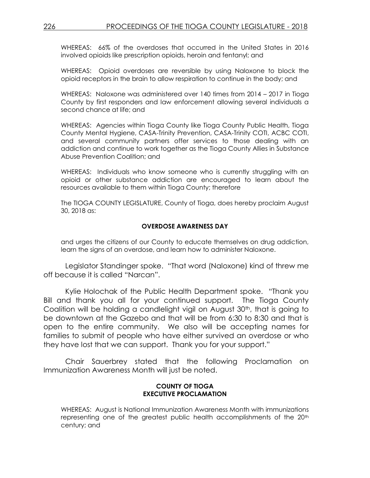WHEREAS: 66% of the overdoses that occurred in the United States in 2016 involved opioids like prescription opioids, heroin and fentanyl; and

WHEREAS: Opioid overdoses are reversible by using Naloxone to block the opioid receptors in the brain to allow respiration to continue in the body; and

WHEREAS: Naloxone was administered over 140 times from 2014 – 2017 in Tioga County by first responders and law enforcement allowing several individuals a second chance at life; and

WHEREAS: Agencies within Tioga County like Tioga County Public Health, Tioga County Mental Hygiene, CASA-Trinity Prevention, CASA-Trinity COTI, ACBC COTI, and several community partners offer services to those dealing with an addiction and continue to work together as the Tioga County Allies in Substance Abuse Prevention Coalition; and

WHEREAS: Individuals who know someone who is currently struggling with an opioid or other substance addiction are encouraged to learn about the resources available to them within Tioga County; therefore

The TIOGA COUNTY LEGISLATURE, County of Tioga, does hereby proclaim August 30, 2018 as:

#### **OVERDOSE AWARENESS DAY**

and urges the citizens of our County to educate themselves on drug addiction, learn the signs of an overdose, and learn how to administer Naloxone.

Legislator Standinger spoke. "That word (Naloxone) kind of threw me off because it is called "Narcan".

Kylie Holochak of the Public Health Department spoke. "Thank you Bill and thank you all for your continued support. The Tioga County Coalition will be holding a candlelight vigil on August 30th, that is going to be downtown at the Gazebo and that will be from 6:30 to 8:30 and that is open to the entire community. We also will be accepting names for families to submit of people who have either survived an overdose or who they have lost that we can support. Thank you for your support."

Chair Sauerbrey stated that the following Proclamation on Immunization Awareness Month will just be noted.

#### **COUNTY OF TIOGA EXECUTIVE PROCLAMATION**

WHEREAS: August is National Immunization Awareness Month with immunizations representing one of the greatest public health accomplishments of the 20<sup>th</sup> century; and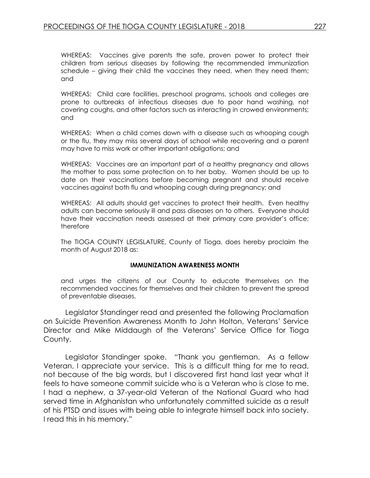WHEREAS: Vaccines give parents the safe, proven power to protect their children from serious diseases by following the recommended immunization schedule – giving their child the vaccines they need, when they need them; and

WHEREAS: Child care facilities, preschool programs, schools and colleges are prone to outbreaks of infectious diseases due to poor hand washing, not covering coughs, and other factors such as interacting in crowed environments; and

WHEREAS: When a child comes down with a disease such as whooping cough or the flu, they may miss several days of school while recovering and a parent may have to miss work or other important obligations; and

WHEREAS: Vaccines are an important part of a healthy pregnancy and allows the mother to pass some protection on to her baby. Women should be up to date on their vaccinations before becoming pregnant and should receive vaccines against both flu and whooping cough during pregnancy; and

WHEREAS: All adults should get vaccines to protect their health. Even healthy adults can become seriously ill and pass diseases on to others. Everyone should have their vaccination needs assessed at their primary care provider's office; therefore

The TIOGA COUNTY LEGISLATURE, County of Tioga, does hereby proclaim the month of August 2018 as:

#### **IMMUNIZATION AWARENESS MONTH**

and urges the citizens of our County to educate themselves on the recommended vaccines for themselves and their children to prevent the spread of preventable diseases.

Legislator Standinger read and presented the following Proclamation on Suicide Prevention Awareness Month to John Holton, Veterans' Service Director and Mike Middaugh of the Veterans' Service Office for Tioga County.

Legislator Standinger spoke. "Thank you gentleman. As a fellow Veteran, I appreciate your service. This is a difficult thing for me to read, not because of the big words, but I discovered first hand last year what it feels to have someone commit suicide who is a Veteran who is close to me. I had a nephew, a 37-year-old Veteran of the National Guard who had served time in Afghanistan who unfortunately committed suicide as a result of his PTSD and issues with being able to integrate himself back into society. I read this in his memory."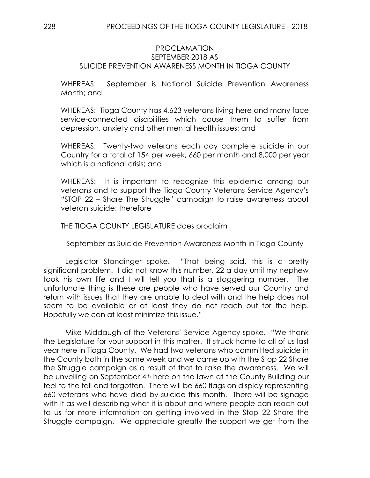### PROCLAMATION SEPTEMBER 2018 AS SUICIDE PREVENTION AWARENESS MONTH IN TIOGA COUNTY

WHEREAS: September is National Suicide Prevention Awareness Month; and

WHEREAS: Tioga County has 4,623 veterans living here and many face service-connected disabilities which cause them to suffer from depression, anxiety and other mental health issues; and

WHEREAS: Twenty-two veterans each day complete suicide in our Country for a total of 154 per week, 660 per month and 8,000 per year which is a national crisis; and

WHEREAS: It is important to recognize this epidemic among our veterans and to support the Tioga County Veterans Service Agency's "STOP 22 – Share The Struggle" campaign to raise awareness about veteran suicide; therefore

THE TIOGA COUNTY LEGISLATURE does proclaim

September as Suicide Prevention Awareness Month in Tioga County

Legislator Standinger spoke. "That being said, this is a pretty significant problem. I did not know this number, 22 a day until my nephew took his own life and I will tell you that is a staggering number. The unfortunate thing is these are people who have served our Country and return with issues that they are unable to deal with and the help does not seem to be available or at least they do not reach out for the help. Hopefully we can at least minimize this issue."

Mike Middaugh of the Veterans' Service Agency spoke. "We thank the Legislature for your support in this matter. It struck home to all of us last year here in Tioga County. We had two veterans who committed suicide in the County both in the same week and we came up with the Stop 22 Share the Struggle campaign as a result of that to raise the awareness. We will be unveiling on September 4<sup>th</sup> here on the lawn at the County Building our feel to the fall and forgotten. There will be 660 flags on display representing 660 veterans who have died by suicide this month. There will be signage with it as well describing what it is about and where people can reach out to us for more information on getting involved in the Stop 22 Share the Struggle campaign. We appreciate greatly the support we get from the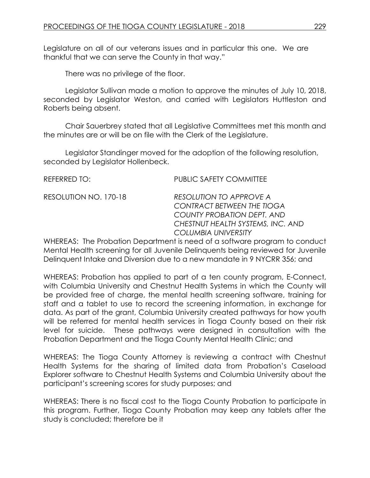Legislature on all of our veterans issues and in particular this one. We are thankful that we can serve the County in that way."

There was no privilege of the floor.

Legislator Sullivan made a motion to approve the minutes of July 10, 2018, seconded by Legislator Weston, and carried with Legislators Huttleston and Roberts being absent.

Chair Sauerbrey stated that all Legislative Committees met this month and the minutes are or will be on file with the Clerk of the Legislature.

Legislator Standinger moved for the adoption of the following resolution, seconded by Legislator Hollenbeck.

| REFERRED TO:          | PUBLIC SAFETY COMMITTEE                                                                                                                                                     |
|-----------------------|-----------------------------------------------------------------------------------------------------------------------------------------------------------------------------|
| RESOLUTION NO. 170-18 | <b>RESOLUTION TO APPROVE A</b><br><b>CONTRACT BETWEEN THE TIOGA</b><br><b>COUNTY PROBATION DEPT. AND</b><br>CHESTNUT HEALTH SYSTEMS, INC. AND<br><b>COLUMBIA UNIVERSITY</b> |
|                       | WILLEDEAS: The Probation Department is nood of a seftware program to cone                                                                                                   |

WHEREAS: The Probation Department is need of a software program to conduct Mental Health screening for all Juvenile Delinquents being reviewed for Juvenile Delinquent Intake and Diversion due to a new mandate in 9 NYCRR 356; and

WHEREAS: Probation has applied to part of a ten county program, E-Connect, with Columbia University and Chestnut Health Systems in which the County will be provided free of charge, the mental health screening software, training for staff and a tablet to use to record the screening information, in exchange for data. As part of the grant, Columbia University created pathways for how youth will be referred for mental health services in Tioga County based on their risk level for suicide. These pathways were designed in consultation with the Probation Department and the Tioga County Mental Health Clinic; and

WHEREAS: The Tioga County Attorney is reviewing a contract with Chestnut Health Systems for the sharing of limited data from Probation's Caseload Explorer software to Chestnut Health Systems and Columbia University about the participant's screening scores for study purposes; and

WHEREAS: There is no fiscal cost to the Tioga County Probation to participate in this program. Further, Tioga County Probation may keep any tablets after the study is concluded; therefore be it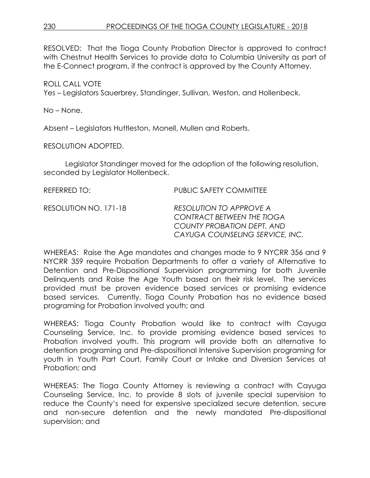RESOLVED: That the Tioga County Probation Director is approved to contract with Chestnut Health Services to provide data to Columbia University as part of the E-Connect program, if the contract is approved by the County Attorney.

## ROLL CALL VOTE

Yes – Legislators Sauerbrey, Standinger, Sullivan, Weston, and Hollenbeck.

No – None.

Absent – Legislators Huttleston, Monell, Mullen and Roberts.

RESOLUTION ADOPTED.

Legislator Standinger moved for the adoption of the following resolution, seconded by Legislator Hollenbeck.

| REFERRED TO:          | <b>PUBLIC SAFETY COMMITTEE</b>                                                                                                       |
|-----------------------|--------------------------------------------------------------------------------------------------------------------------------------|
| RESOLUTION NO. 171-18 | RESOLUTION TO APPROVE A<br><b>CONTRACT BETWEEN THE TIOGA</b><br><b>COUNTY PROBATION DEPT. AND</b><br>CAYUGA COUNSELING SERVICE, INC. |
|                       |                                                                                                                                      |

WHEREAS: Raise the Age mandates and changes made to 9 NYCRR 356 and 9 NYCRR 359 require Probation Departments to offer a variety of Alternative to Detention and Pre-Dispositional Supervision programming for both Juvenile Delinquents and Raise the Age Youth based on their risk level. The services provided must be proven evidence based services or promising evidence based services. Currently, Tioga County Probation has no evidence based programing for Probation involved youth; and

WHEREAS: Tioga County Probation would like to contract with Cayuga Counseling Service, Inc. to provide promising evidence based services to Probation involved youth. This program will provide both an alternative to detention programing and Pre-dispositional Intensive Supervision programing for youth in Youth Part Court, Family Court or Intake and Diversion Services at Probation; and

WHEREAS: The Tioga County Attorney is reviewing a contract with Cayuga Counseling Service, Inc. to provide 8 slots of juvenile special supervision to reduce the County's need for expensive specialized secure detention, secure and non-secure detention and the newly mandated Pre-dispositional supervision; and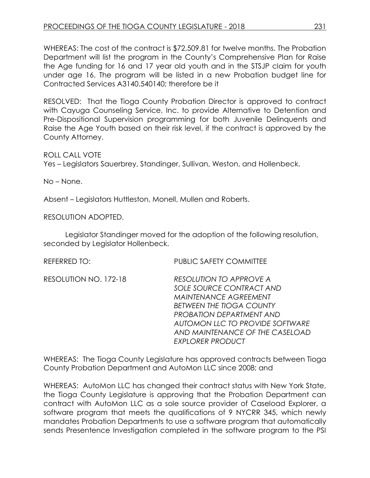WHEREAS: The cost of the contract is \$72,509.81 for twelve months. The Probation Department will list the program in the County's Comprehensive Plan for Raise the Age funding for 16 and 17 year old youth and in the STSJP claim for youth under age 16. The program will be listed in a new Probation budget line for Contracted Services A3140.540140; therefore be it

RESOLVED: That the Tioga County Probation Director is approved to contract with Cayuga Counseling Service, Inc. to provide Alternative to Detention and Pre-Dispositional Supervision programming for both Juvenile Delinquents and Raise the Age Youth based on their risk level, if the contract is approved by the County Attorney.

ROLL CALL VOTE

Yes – Legislators Sauerbrey, Standinger, Sullivan, Weston, and Hollenbeck.

No – None.

Absent – Legislators Huttleston, Monell, Mullen and Roberts.

RESOLUTION ADOPTED.

Legislator Standinger moved for the adoption of the following resolution, seconded by Legislator Hollenbeck.

REFERRED TO: PUBLIC SAFETY COMMITTEE

| RESOLUTION NO. 172-18 | <b>RESOLUTION TO APPROVE A</b>  |
|-----------------------|---------------------------------|
|                       | SOLE SOURCE CONTRACT AND        |
|                       | <b>MAINTENANCE AGREEMENT</b>    |
|                       | <b>BETWEEN THE TIOGA COUNTY</b> |
|                       | <b>PROBATION DEPARTMENT AND</b> |
|                       | AUTOMON LLC TO PROVIDE SOFTWARE |
|                       | AND MAINTENANCE OF THE CASELOAD |
|                       | <b>EXPLORER PRODUCT</b>         |
|                       |                                 |

WHEREAS: The Tioga County Legislature has approved contracts between Tioga County Probation Department and AutoMon LLC since 2008; and

WHEREAS: AutoMon LLC has changed their contract status with New York State, the Tioga County Legislature is approving that the Probation Department can contract with AutoMon LLC as a sole source provider of Caseload Explorer, a software program that meets the qualifications of 9 NYCRR 345, which newly mandates Probation Departments to use a software program that automatically sends Presentence Investigation completed in the software program to the PSI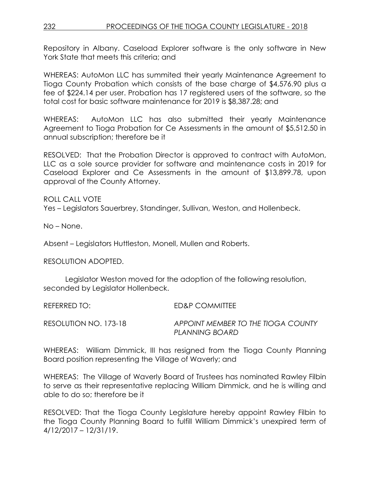Repository in Albany. Caseload Explorer software is the only software in New York State that meets this criteria; and

WHEREAS: AutoMon LLC has summited their yearly Maintenance Agreement to Tioga County Probation which consists of the base charge of \$4,576.90 plus a fee of \$224.14 per user. Probation has 17 registered users of the software, so the total cost for basic software maintenance for 2019 is \$8,387.28; and

WHEREAS: AutoMon LLC has also submitted their yearly Maintenance Agreement to Tioga Probation for Ce Assessments in the amount of \$5,512.50 in annual subscription; therefore be it

RESOLVED: That the Probation Director is approved to contract with AutoMon, LLC as a sole source provider for software and maintenance costs in 2019 for Caseload Explorer and Ce Assessments in the amount of \$13,899.78, upon approval of the County Attorney.

ROLL CALL VOTE

Yes – Legislators Sauerbrey, Standinger, Sullivan, Weston, and Hollenbeck.

No – None.

Absent – Legislators Huttleston, Monell, Mullen and Roberts.

RESOLUTION ADOPTED.

Legislator Weston moved for the adoption of the following resolution, seconded by Legislator Hollenbeck.

REFERRED TO: ED&P COMMITTEE

RESOLUTION NO. 173-18 *APPOINT MEMBER TO THE TIOGA COUNTY PLANNING BOARD*

WHEREAS: William Dimmick, III has resigned from the Tioga County Planning Board position representing the Village of Waverly; and

WHEREAS: The Village of Waverly Board of Trustees has nominated Rawley Filbin to serve as their representative replacing William Dimmick, and he is willing and able to do so; therefore be it

RESOLVED: That the Tioga County Legislature hereby appoint Rawley Filbin to the Tioga County Planning Board to fulfill William Dimmick's unexpired term of 4/12/2017 – 12/31/19.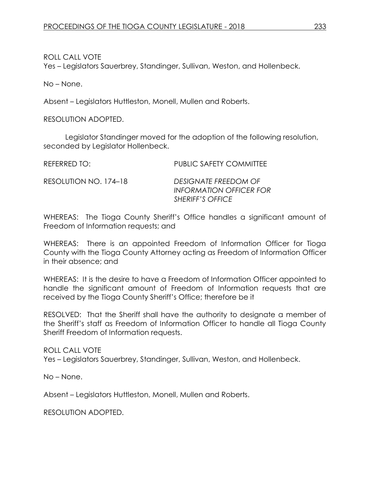ROLL CALL VOTE Yes – Legislators Sauerbrey, Standinger, Sullivan, Weston, and Hollenbeck.

No – None.

Absent – Legislators Huttleston, Monell, Mullen and Roberts.

RESOLUTION ADOPTED.

Legislator Standinger moved for the adoption of the following resolution, seconded by Legislator Hollenbeck.

REFERRED TO: PUBLIC SAFETY COMMITTEE

RESOLUTION NO. 174–18 *DESIGNATE FREEDOM OF* 

*INFORMATION OFFICER FOR SHERIFF'S OFFICE*

WHEREAS: The Tioga County Sheriff's Office handles a significant amount of Freedom of Information requests; and

WHEREAS: There is an appointed Freedom of Information Officer for Tioga County with the Tioga County Attorney acting as Freedom of Information Officer in their absence; and

WHEREAS: It is the desire to have a Freedom of Information Officer appointed to handle the significant amount of Freedom of Information requests that are received by the Tioga County Sheriff's Office; therefore be it

RESOLVED: That the Sheriff shall have the authority to designate a member of the Sheriff's staff as Freedom of Information Officer to handle all Tioga County Sheriff Freedom of Information requests.

ROLL CALL VOTE Yes – Legislators Sauerbrey, Standinger, Sullivan, Weston, and Hollenbeck.

No – None.

Absent – Legislators Huttleston, Monell, Mullen and Roberts.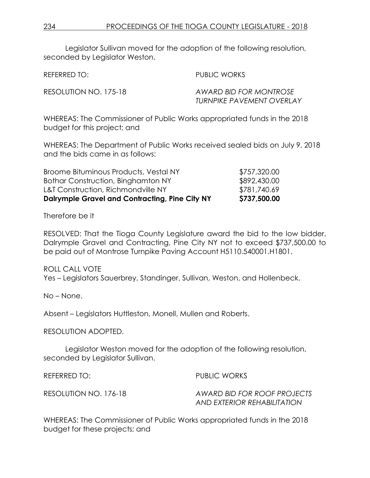Legislator Sullivan moved for the adoption of the following resolution, seconded by Legislator Weston.

REFERRED TO: The PUBLIC WORKS

RESOLUTION NO. 175-18 *AWARD BID FOR MONTROSE TURNPIKE PAVEMENT OVERLAY* 

WHEREAS: The Commissioner of Public Works appropriated funds in the 2018 budget for this project; and

WHEREAS: The Department of Public Works received sealed bids on July 9, 2018 and the bids came in as follows:

| <b>Dalrymple Gravel and Contracting, Pine City NY</b> | \$737,500.00 |
|-------------------------------------------------------|--------------|
| <b>L&amp;T Construction, Richmondville NY</b>         | \$781,740.69 |
| Bothar Construction, Binghamton NY                    | \$892,430.00 |
| Broome Bituminous Products, Vestal NY                 | \$757,320.00 |

Therefore be it

RESOLVED: That the Tioga County Legislature award the bid to the low bidder, Dalrymple Gravel and Contracting, Pine City NY not to exceed \$737,500.00 to be paid out of Montrose Turnpike Paving Account H5110.540001.H1801.

ROLL CALL VOTE Yes – Legislators Sauerbrey, Standinger, Sullivan, Weston, and Hollenbeck.

No – None.

Absent – Legislators Huttleston, Monell, Mullen and Roberts.

RESOLUTION ADOPTED.

Legislator Weston moved for the adoption of the following resolution, seconded by Legislator Sullivan.

REFERRED TO: PUBLIC WORKS

RESOLUTION NO. 176-18 *AWARD BID FOR ROOF PROJECTS AND EXTERIOR REHABILITATION* 

WHEREAS: The Commissioner of Public Works appropriated funds in the 2018 budget for these projects; and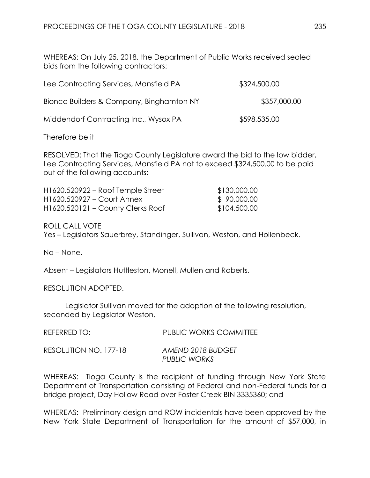WHEREAS: On July 25, 2018, the Department of Public Works received sealed bids from the following contractors:

| Lee Contracting Services, Mansfield PA   | \$324,500.00 |
|------------------------------------------|--------------|
| Bionco Builders & Company, Binghamton NY | \$357,000.00 |
| Middendorf Contracting Inc., Wysox PA    | \$598,535.00 |

Therefore be it

RESOLVED: That the Tioga County Legislature award the bid to the low bidder, Lee Contracting Services, Mansfield PA not to exceed \$324,500.00 to be paid out of the following accounts:

| H1620.520922 – Roof Temple Street   | \$130,000.00 |
|-------------------------------------|--------------|
| H1620.520927 – Court Annex          | \$90,000.00  |
| $H1620.520121 - County Clerks Root$ | \$104,500.00 |

ROLL CALL VOTE Yes – Legislators Sauerbrey, Standinger, Sullivan, Weston, and Hollenbeck.

No – None.

Absent – Legislators Huttleston, Monell, Mullen and Roberts.

RESOLUTION ADOPTED.

Legislator Sullivan moved for the adoption of the following resolution, seconded by Legislator Weston.

| REFERRED TO:          | <b>PUBLIC WORKS COMMITTEE</b>            |
|-----------------------|------------------------------------------|
| RESOLUTION NO. 177-18 | AMEND 2018 BUDGET<br><b>PUBLIC WORKS</b> |

WHEREAS: Tioga County is the recipient of funding through New York State Department of Transportation consisting of Federal and non-Federal funds for a bridge project, Day Hollow Road over Foster Creek BIN 3335360; and

WHEREAS: Preliminary design and ROW incidentals have been approved by the New York State Department of Transportation for the amount of \$57,000, in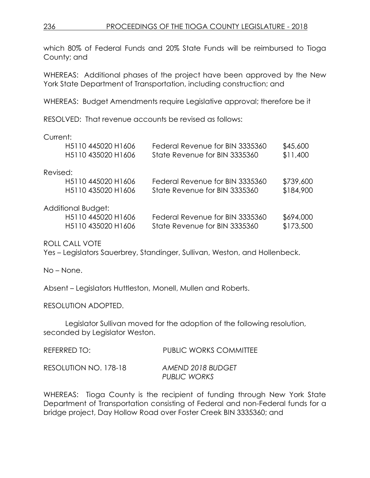which 80% of Federal Funds and 20% State Funds will be reimbursed to Tioga County; and

WHEREAS: Additional phases of the project have been approved by the New York State Department of Transportation, including construction; and

WHEREAS: Budget Amendments require Legislative approval; therefore be it

RESOLVED: That revenue accounts be revised as follows:

### Current:

|          | H5110 445020 H1606                          | Federal Revenue for BIN 3335360 | \$45,600  |
|----------|---------------------------------------------|---------------------------------|-----------|
|          | H5110 435020 H1606                          | State Revenue for BIN 3335360   | \$11,400  |
| Revised: |                                             |                                 |           |
|          | H <sub>5</sub> 110 445020 H <sub>1606</sub> | Federal Revenue for BIN 3335360 | \$739,600 |
|          | H5110 435020 H1606                          | State Revenue for BIN 3335360   | \$184,900 |
|          | Additional Budget:                          |                                 |           |
|          | H5110 445020 H1606                          | Federal Revenue for BIN 3335360 | \$694,000 |
|          | H5110 435020 H1606                          | State Revenue for BIN 3335360   | \$173,500 |
|          |                                             |                                 |           |

ROLL CALL VOTE

Yes – Legislators Sauerbrey, Standinger, Sullivan, Weston, and Hollenbeck.

No – None.

Absent – Legislators Huttleston, Monell, Mullen and Roberts.

RESOLUTION ADOPTED.

Legislator Sullivan moved for the adoption of the following resolution, seconded by Legislator Weston.

| REFERRED TO:          | <b>PUBLIC WORKS COMMITTEE</b>     |
|-----------------------|-----------------------------------|
| RESOLUTION NO. 178-18 | AMEND 2018 BUDGET<br>PUBLIC WORKS |

WHEREAS: Tioga County is the recipient of funding through New York State Department of Transportation consisting of Federal and non-Federal funds for a bridge project, Day Hollow Road over Foster Creek BIN 3335360; and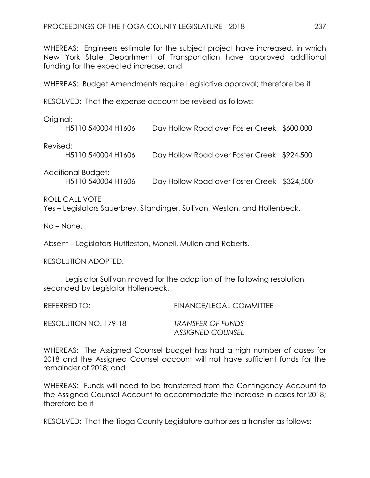WHEREAS: Engineers estimate for the subject project have increased, in which New York State Department of Transportation have approved additional funding for the expected increase; and

WHEREAS: Budget Amendments require Legislative approval; therefore be it

RESOLVED: That the expense account be revised as follows:

Original:

|          | H5110 540004 H1606                       | Day Hollow Road over Foster Creek \$600,000 |  |
|----------|------------------------------------------|---------------------------------------------|--|
| Revised: | H5110 540004 H1606                       | Day Hollow Road over Foster Creek \$924,500 |  |
|          | Additional Budget:<br>H5110 540004 H1606 | Day Hollow Road over Foster Creek \$324,500 |  |

### ROLL CALL VOTE

Yes – Legislators Sauerbrey, Standinger, Sullivan, Weston, and Hollenbeck.

No – None.

Absent – Legislators Huttleston, Monell, Mullen and Roberts.

RESOLUTION ADOPTED.

Legislator Sullivan moved for the adoption of the following resolution, seconded by Legislator Hollenbeck.

| REFERRED TO:          | <b>FINANCE/LEGAL COMMITTEE</b> |
|-----------------------|--------------------------------|
| RESOLUTION NO. 179-18 | TRANSFER OF FUNDS              |
|                       | <b>ASSIGNED COUNSEL</b>        |

WHEREAS: The Assigned Counsel budget has had a high number of cases for 2018 and the Assigned Counsel account will not have sufficient funds for the remainder of 2018; and

WHEREAS: Funds will need to be transferred from the Contingency Account to the Assigned Counsel Account to accommodate the increase in cases for 2018; therefore be it

RESOLVED: That the Tioga County Legislature authorizes a transfer as follows: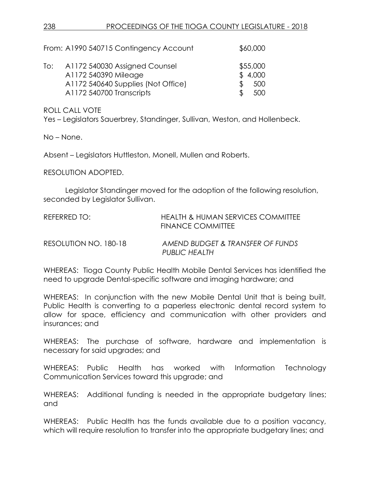|     | From: A1990 540715 Contingency Account                                                                                  | \$60,000                          |
|-----|-------------------------------------------------------------------------------------------------------------------------|-----------------------------------|
| To: | A1172 540030 Assigned Counsel<br>A1172 540390 Mileage<br>A1172 540640 Supplies (Not Office)<br>A1172 540700 Transcripts | \$55,000<br>\$4,000<br>500<br>500 |

ROLL CALL VOTE

Yes – Legislators Sauerbrey, Standinger, Sullivan, Weston, and Hollenbeck.

No – None.

Absent – Legislators Huttleston, Monell, Mullen and Roberts.

RESOLUTION ADOPTED.

Legislator Standinger moved for the adoption of the following resolution, seconded by Legislator Sullivan.

| REFERRED TO:          | <b>HEALTH &amp; HUMAN SERVICES COMMITTEE</b><br><b>FINANCE COMMITTEE</b> |
|-----------------------|--------------------------------------------------------------------------|
| RESOLUTION NO. 180-18 | AMEND BUDGET & TRANSFER OF FUNDS<br>PUBLIC HEALTH                        |

WHEREAS: Tioga County Public Health Mobile Dental Services has identified the need to upgrade Dental-specific software and imaging hardware; and

WHEREAS: In conjunction with the new Mobile Dental Unit that is being built, Public Health is converting to a paperless electronic dental record system to allow for space, efficiency and communication with other providers and insurances; and

WHEREAS: The purchase of software, hardware and implementation is necessary for said upgrades; and

WHEREAS: Public Health has worked with Information Technology Communication Services toward this upgrade; and

WHEREAS: Additional funding is needed in the appropriate budgetary lines; and

WHEREAS: Public Health has the funds available due to a position vacancy, which will require resolution to transfer into the appropriate budgetary lines; and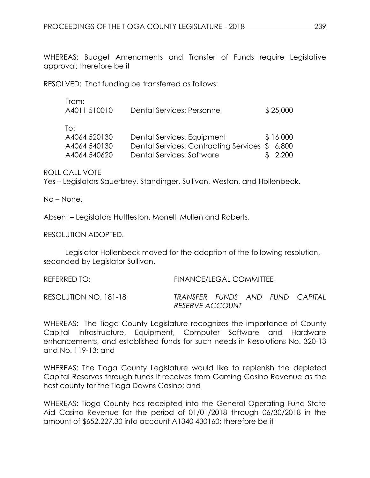WHEREAS: Budget Amendments and Transfer of Funds require Legislative approval; therefore be it

RESOLVED: That funding be transferred as follows:

| From:        |                            |          |
|--------------|----------------------------|----------|
| A4011 510010 | Dental Services: Personnel | \$25,000 |
| To:          |                            |          |

| A4064 520130 | Dental Services: Equipment                    | \$16,000 |
|--------------|-----------------------------------------------|----------|
| A4064 540130 | Dental Services: Contracting Services \$6,800 |          |
| A4064 540620 | Dental Services: Software                     | \$ 2,200 |

ROLL CALL VOTE

Yes – Legislators Sauerbrey, Standinger, Sullivan, Weston, and Hollenbeck.

No – None.

Absent – Legislators Huttleston, Monell, Mullen and Roberts.

RESOLUTION ADOPTED.

Legislator Hollenbeck moved for the adoption of the following resolution, seconded by Legislator Sullivan.

REFERRED TO: FINANCE/LEGAL COMMITTEE RESOLUTION NO. 181-18 *TRANSFER FUNDS AND FUND CAPITAL* 

WHEREAS: The Tioga County Legislature recognizes the importance of County Capital Infrastructure, Equipment, Computer Software and Hardware enhancements, and established funds for such needs in Resolutions No. 320-13 and No. 119-13; and

*RESERVE ACCOUNT* 

WHEREAS: The Tioga County Legislature would like to replenish the depleted Capital Reserves through funds it receives from Gaming Casino Revenue as the host county for the Tioga Downs Casino; and

WHEREAS: Tioga County has receipted into the General Operating Fund State Aid Casino Revenue for the period of 01/01/2018 through 06/30/2018 in the amount of \$652,227.30 into account A1340 430160; therefore be it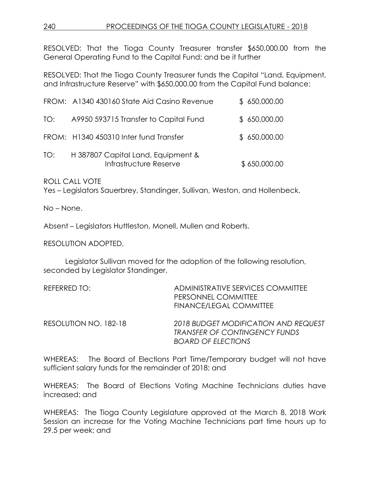RESOLVED: That the Tioga County Treasurer transfer \$650,000.00 from the General Operating Fund to the Capital Fund; and be it further

RESOLVED: That the Tioga County Treasurer funds the Capital "Land, Equipment, and Infrastructure Reserve" with \$650,000.00 from the Capital Fund balance:

|     | FROM: A1340 430160 State Aid Casino Revenue                  | \$650,000.00 |
|-----|--------------------------------------------------------------|--------------|
| TO: | A9950 593715 Transfer to Capital Fund                        | \$650,000.00 |
|     | FROM: H1340 450310 Inter fund Transfer                       | \$650,000.00 |
| TO: | H 387807 Capital Land, Equipment &<br>Infrastructure Reserve | \$650,000.00 |

ROLL CALL VOTE

Yes – Legislators Sauerbrey, Standinger, Sullivan, Weston, and Hollenbeck.

No – None.

Absent – Legislators Huttleston, Monell, Mullen and Roberts.

RESOLUTION ADOPTED.

Legislator Sullivan moved for the adoption of the following resolution, seconded by Legislator Standinger.

| REFERRED TO:          | ADMINISTRATIVE SERVICES COMMITTEE<br>PERSONNEL COMMITTEE<br><b>FINANCE/LEGAL COMMITTEE</b>                |
|-----------------------|-----------------------------------------------------------------------------------------------------------|
| RESOLUTION NO. 182-18 | 2018 BUDGET MODIFICATION AND REQUEST<br><b>TRANSFER OF CONTINGENCY FUNDS</b><br><b>BOARD OF ELECTIONS</b> |

WHEREAS: The Board of Elections Part Time/Temporary budget will not have sufficient salary funds for the remainder of 2018; and

WHEREAS: The Board of Elections Voting Machine Technicians duties have increased; and

WHEREAS: The Tioga County Legislature approved at the March 8, 2018 Work Session an increase for the Voting Machine Technicians part time hours up to 29.5 per week; and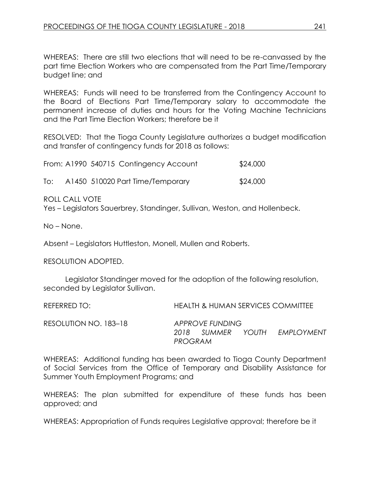WHEREAS: There are still two elections that will need to be re-canvassed by the part time Election Workers who are compensated from the Part Time/Temporary budget line; and

WHEREAS: Funds will need to be transferred from the Contingency Account to the Board of Elections Part Time/Temporary salary to accommodate the permanent increase of duties and hours for the Voting Machine Technicians and the Part Time Election Workers; therefore be it

RESOLVED: That the Tioga County Legislature authorizes a budget modification and transfer of contingency funds for 2018 as follows:

From: A1990 540715 Contingency Account \$24,000 To: A1450 510020 Part Time/Temporary \$24,000

ROLL CALL VOTE

Yes – Legislators Sauerbrey, Standinger, Sullivan, Weston, and Hollenbeck.

No – None.

Absent – Legislators Huttleston, Monell, Mullen and Roberts.

RESOLUTION ADOPTED.

Legislator Standinger moved for the adoption of the following resolution, seconded by Legislator Sullivan.

| REFERRED TO:          |                 |                                 | <b>HEALTH &amp; HUMAN SERVICES COMMITTEE</b> |
|-----------------------|-----------------|---------------------------------|----------------------------------------------|
| RESOLUTION NO. 183–18 | 2018<br>PROGRAM | APPROVE FUNDING<br>SUMMER YOUTH | EMPLOYMENT                                   |

WHEREAS: Additional funding has been awarded to Tioga County Department of Social Services from the Office of Temporary and Disability Assistance for Summer Youth Employment Programs; and

WHEREAS: The plan submitted for expenditure of these funds has been approved; and

WHEREAS: Appropriation of Funds requires Legislative approval; therefore be it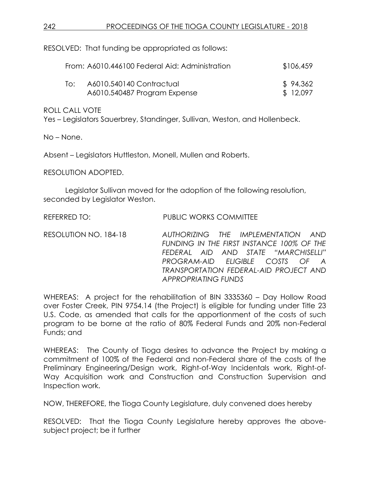RESOLVED: That funding be appropriated as follows:

|     | From: A6010.446100 Federal Aid: Administration | \$106,459 |
|-----|------------------------------------------------|-----------|
| ിറ: | A6010.540140 Contractual                       | \$94,362  |
|     | A6010.540487 Program Expense                   | \$12,097  |

ROLL CALL VOTE

Yes – Legislators Sauerbrey, Standinger, Sullivan, Weston, and Hollenbeck.

No – None.

Absent – Legislators Huttleston, Monell, Mullen and Roberts.

RESOLUTION ADOPTED.

Legislator Sullivan moved for the adoption of the following resolution, seconded by Legislator Weston.

REFERRED TO: PUBLIC WORKS COMMITTEE

RESOLUTION NO. 184-18 *AUTHORIZING THE IMPLEMENTATION AND FUNDING IN THE FIRST INSTANCE 100% OF THE FEDERAL AID AND STATE "MARCHISELLI" PROGRAM-AID ELIGIBLE COSTS OF A TRANSPORTATION FEDERAL-AID PROJECT AND APPROPRIATING FUNDS*

WHEREAS: A project for the rehabilitation of BIN 3335360 – Day Hollow Road over Foster Creek, PIN 9754.14 (the Project) is eligible for funding under Title 23 U.S. Code, as amended that calls for the apportionment of the costs of such program to be borne at the ratio of 80% Federal Funds and 20% non-Federal Funds; and

WHEREAS: The County of Tioga desires to advance the Project by making a commitment of 100% of the Federal and non-Federal share of the costs of the Preliminary Engineering/Design work, Right-of-Way Incidentals work, Right-of-Way Acquisition work and Construction and Construction Supervision and Inspection work.

NOW, THEREFORE, the Tioga County Legislature, duly convened does hereby

RESOLVED: That the Tioga County Legislature hereby approves the abovesubject project; be it further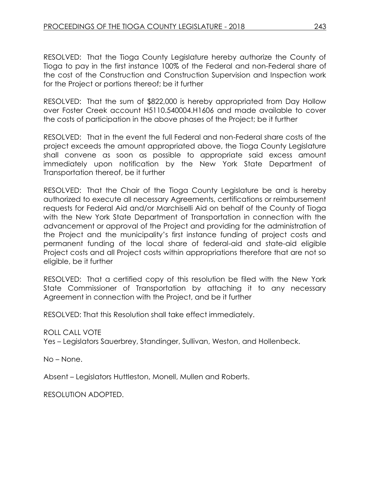RESOLVED: That the Tioga County Legislature hereby authorize the County of Tioga to pay in the first instance 100% of the Federal and non-Federal share of the cost of the Construction and Construction Supervision and Inspection work for the Project or portions thereof; be it further

RESOLVED: That the sum of \$822,000 is hereby appropriated from Day Hollow over Foster Creek account H5110.540004.H1606 and made available to cover the costs of participation in the above phases of the Project; be it further

RESOLVED: That in the event the full Federal and non-Federal share costs of the project exceeds the amount appropriated above, the Tioga County Legislature shall convene as soon as possible to appropriate said excess amount immediately upon notification by the New York State Department of Transportation thereof, be it further

RESOLVED: That the Chair of the Tioga County Legislature be and is hereby authorized to execute all necessary Agreements, certifications or reimbursement requests for Federal Aid and/or Marchiselli Aid on behalf of the County of Tioga with the New York State Department of Transportation in connection with the advancement or approval of the Project and providing for the administration of the Project and the municipality's first instance funding of project costs and permanent funding of the local share of federal-aid and state-aid eligible Project costs and all Project costs within appropriations therefore that are not so eligible, be it further

RESOLVED: That a certified copy of this resolution be filed with the New York State Commissioner of Transportation by attaching it to any necessary Agreement in connection with the Project, and be it further

RESOLVED: That this Resolution shall take effect immediately.

ROLL CALL VOTE

Yes – Legislators Sauerbrey, Standinger, Sullivan, Weston, and Hollenbeck.

No – None.

Absent – Legislators Huttleston, Monell, Mullen and Roberts.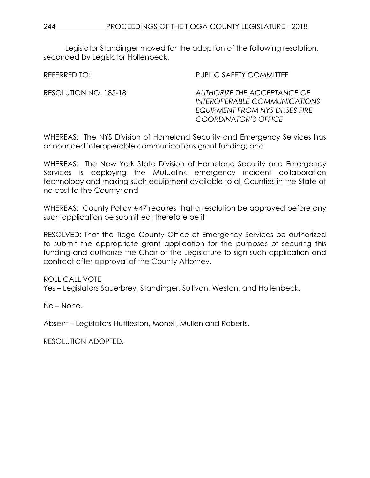Legislator Standinger moved for the adoption of the following resolution, seconded by Legislator Hollenbeck.

REFERRED TO: THE PUBLIC SAFETY COMMITTEE

RESOLUTION NO. 185-18 *AUTHORIZE THE ACCEPTANCE OF INTEROPERABLE COMMUNICATIONS EQUIPMENT FROM NYS DHSES FIRE COORDINATOR'S OFFICE*

WHEREAS: The NYS Division of Homeland Security and Emergency Services has announced interoperable communications grant funding; and

WHEREAS: The New York State Division of Homeland Security and Emergency Services is deploying the Mutualink emergency incident collaboration technology and making such equipment available to all Counties in the State at no cost to the County; and

WHEREAS: County Policy #47 requires that a resolution be approved before any such application be submitted; therefore be it

RESOLVED: That the Tioga County Office of Emergency Services be authorized to submit the appropriate grant application for the purposes of securing this funding and authorize the Chair of the Legislature to sign such application and contract after approval of the County Attorney.

ROLL CALL VOTE

Yes – Legislators Sauerbrey, Standinger, Sullivan, Weston, and Hollenbeck.

No – None.

Absent – Legislators Huttleston, Monell, Mullen and Roberts.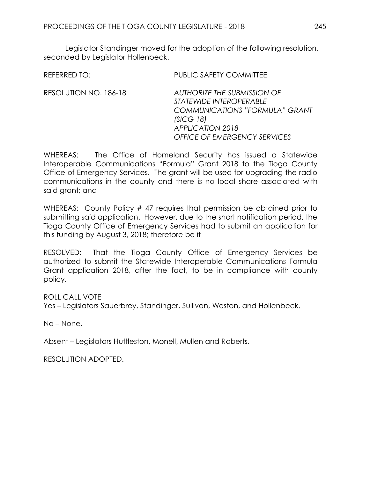Legislator Standinger moved for the adoption of the following resolution, seconded by Legislator Hollenbeck.

REFERRED TO: PUBLIC SAFETY COMMITTEE

RESOLUTION NO. 186-18 *AUTHORIZE THE SUBMISSION OF STATEWIDE INTEROPERABLE COMMUNICATIONS "FORMULA" GRANT (SICG 18) APPLICATION 2018 OFFICE OF EMERGENCY SERVICES*

WHEREAS: The Office of Homeland Security has issued a Statewide Interoperable Communications "Formula" Grant 2018 to the Tioga County Office of Emergency Services. The grant will be used for upgrading the radio communications in the county and there is no local share associated with said grant; and

WHEREAS: County Policy #47 requires that permission be obtained prior to submitting said application. However, due to the short notification period, the Tioga County Office of Emergency Services had to submit an application for this funding by August 3, 2018; therefore be it

RESOLVED: That the Tioga County Office of Emergency Services be authorized to submit the Statewide Interoperable Communications Formula Grant application 2018, after the fact, to be in compliance with county policy.

ROLL CALL VOTE

Yes – Legislators Sauerbrey, Standinger, Sullivan, Weston, and Hollenbeck.

No – None.

Absent – Legislators Huttleston, Monell, Mullen and Roberts.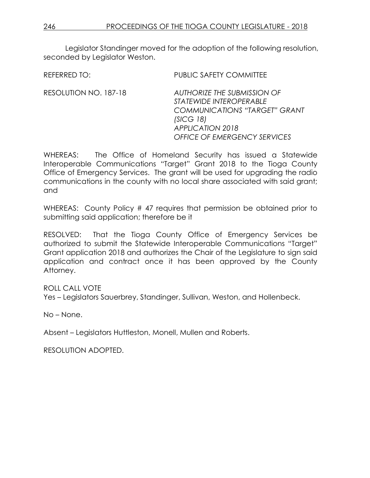Legislator Standinger moved for the adoption of the following resolution, seconded by Legislator Weston.

REFERRED TO: PUBLIC SAFETY COMMITTEE RESOLUTION NO. 187-18 *AUTHORIZE THE SUBMISSION OF STATEWIDE INTEROPERABLE COMMUNICATIONS "TARGET" GRANT (SICG 18) APPLICATION 2018 OFFICE OF EMERGENCY SERVICES*

WHEREAS: The Office of Homeland Security has issued a Statewide Interoperable Communications "Target" Grant 2018 to the Tioga County Office of Emergency Services. The grant will be used for upgrading the radio communications in the county with no local share associated with said grant; and

WHEREAS: County Policy #47 requires that permission be obtained prior to submitting said application; therefore be it

RESOLVED: That the Tioga County Office of Emergency Services be authorized to submit the Statewide Interoperable Communications "Target" Grant application 2018 and authorizes the Chair of the Legislature to sign said application and contract once it has been approved by the County Attorney.

ROLL CALL VOTE

Yes – Legislators Sauerbrey, Standinger, Sullivan, Weston, and Hollenbeck.

No – None.

Absent – Legislators Huttleston, Monell, Mullen and Roberts.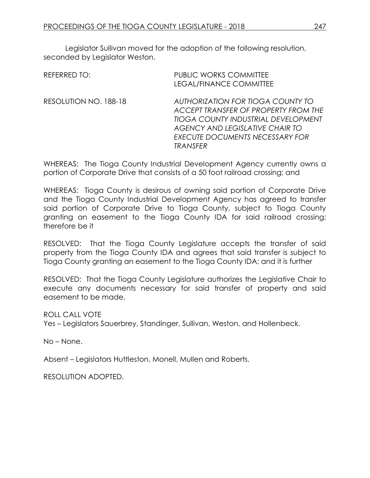Legislator Sullivan moved for the adoption of the following resolution, seconded by Legislator Weston.

| <b>REFERRED TO:</b>   | PUBLIC WORKS COMMITTEE<br>LEGAL/FINANCE COMMITTEE                                                                                                                                                         |
|-----------------------|-----------------------------------------------------------------------------------------------------------------------------------------------------------------------------------------------------------|
| RESOLUTION NO. 188-18 | AUTHORIZATION FOR TIOGA COUNTY TO<br>ACCEPT TRANSFER OF PROPERTY FROM THE<br>TIOGA COUNTY INDUSTRIAL DEVELOPMENT<br>AGENCY AND LEGISLATIVE CHAIR TO<br><b>EXECUTE DOCUMENTS NECESSARY FOR</b><br>TRANSFER |

WHEREAS: The Tioga County Industrial Development Agency currently owns a portion of Corporate Drive that consists of a 50 foot railroad crossing; and

WHEREAS: Tioga County is desirous of owning said portion of Corporate Drive and the Tioga County Industrial Development Agency has agreed to transfer said portion of Corporate Drive to Tioga County, subject to Tioga County granting an easement to the Tioga County IDA for said railroad crossing; therefore be it

RESOLVED: That the Tioga County Legislature accepts the transfer of said property from the Tioga County IDA and agrees that said transfer is subject to Tioga County granting an easement to the Tioga County IDA; and it is further

RESOLVED: That the Tioga County Legislature authorizes the Legislative Chair to execute any documents necessary for said transfer of property and said easement to be made.

ROLL CALL VOTE

Yes – Legislators Sauerbrey, Standinger, Sullivan, Weston, and Hollenbeck.

No – None.

Absent – Legislators Huttleston, Monell, Mullen and Roberts.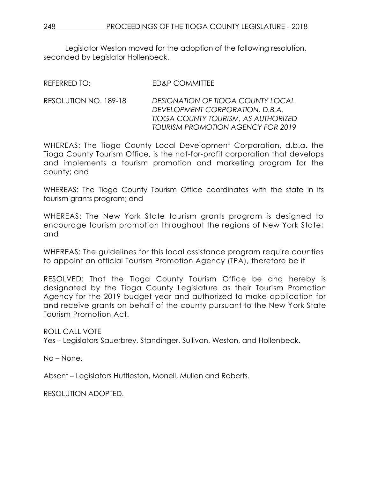Legislator Weston moved for the adoption of the following resolution, seconded by Legislator Hollenbeck.

| <b>ED&amp;P COMMITTEE</b> |
|---------------------------|
|                           |

RESOLUTION NO. 189-18 *DESIGNATION OF TIOGA COUNTY LOCAL DEVELOPMENT CORPORATION, D.B.A. TIOGA COUNTY TOURISM, AS AUTHORIZED TOURISM PROMOTION AGENCY FOR 2019*

WHEREAS: The Tioga County Local Development Corporation, d.b.a. the Tioga County Tourism Office, is the not-for-profit corporation that develops and implements a tourism promotion and marketing program for the county; and

WHEREAS: The Tioga County Tourism Office coordinates with the state in its tourism grants program; and

WHEREAS: The New York State tourism grants program is designed to encourage tourism promotion throughout the regions of New York State; and

WHEREAS: The guidelines for this local assistance program require counties to appoint an official Tourism Promotion Agency (TPA), therefore be it

RESOLVED: That the Tioga County Tourism Office be and hereby is designated by the Tioga County Legislature as their Tourism Promotion Agency for the 2019 budget year and authorized to make application for and receive grants on behalf of the county pursuant to the New York State Tourism Promotion Act.

ROLL CALL VOTE Yes – Legislators Sauerbrey, Standinger, Sullivan, Weston, and Hollenbeck.

No – None.

Absent – Legislators Huttleston, Monell, Mullen and Roberts.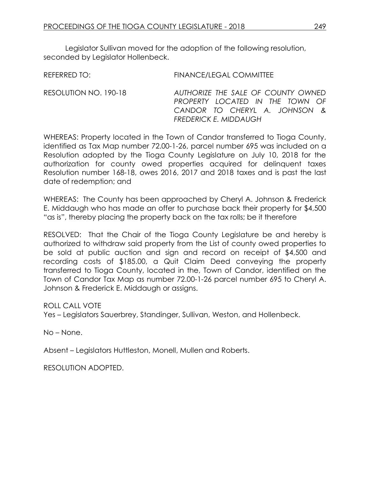Legislator Sullivan moved for the adoption of the following resolution, seconded by Legislator Hollenbeck.

REFERRED TO: FINANCE/LEGAL COMMITTEE

RESOLUTION NO. 190-18 *AUTHORIZE THE SALE OF COUNTY OWNED PROPERTY LOCATED IN THE TOWN OF CANDOR TO CHERYL A. JOHNSON & FREDERICK E. MIDDAUGH*

WHEREAS: Property located in the Town of Candor transferred to Tioga County, identified as Tax Map number 72.00-1-26, parcel number 695 was included on a Resolution adopted by the Tioga County Legislature on July 10, 2018 for the authorization for county owed properties acquired for delinquent taxes Resolution number 168-18, owes 2016, 2017 and 2018 taxes and is past the last date of redemption; and

WHEREAS: The County has been approached by Cheryl A. Johnson & Frederick E. Middaugh who has made an offer to purchase back their property for \$4,500 "as is", thereby placing the property back on the tax rolls; be it therefore

RESOLVED: That the Chair of the Tioga County Legislature be and hereby is authorized to withdraw said property from the List of county owed properties to be sold at public auction and sign and record on receipt of \$4,500 and recording costs of \$185.00, a Quit Claim Deed conveying the property transferred to Tioga County, located in the, Town of Candor, identified on the Town of Candor Tax Map as number 72.00-1-26 parcel number 695 to Cheryl A. Johnson & Frederick E. Middaugh or assigns.

ROLL CALL VOTE

Yes – Legislators Sauerbrey, Standinger, Sullivan, Weston, and Hollenbeck.

No – None.

Absent – Legislators Huttleston, Monell, Mullen and Roberts.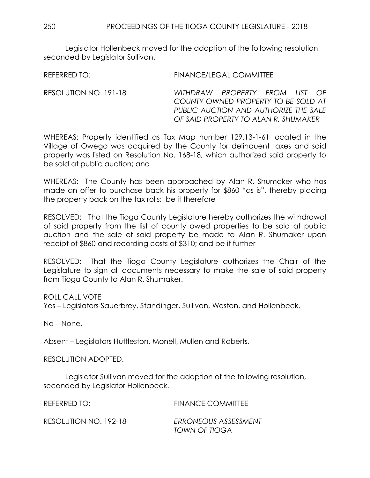*PUBLIC AUCTION AND AUTHORIZE THE SALE OF SAID PROPERTY TO ALAN R. SHUMAKER*

Legislator Hollenbeck moved for the adoption of the following resolution, seconded by Legislator Sullivan.

REFERRED TO: FINANCE/LEGAL COMMITTEE RESOLUTION NO. 191-18 *WITHDRAW PROPERTY FROM LIST OF COUNTY OWNED PROPERTY TO BE SOLD AT* 

WHEREAS: Property identified as Tax Map number 129.13-1-61 located in the Village of Owego was acquired by the County for delinquent taxes and said property was listed on Resolution No. 168-18, which authorized said property to be sold at public auction; and

WHEREAS: The County has been approached by Alan R. Shumaker who has made an offer to purchase back his property for \$860 "as is", thereby placing the property back on the tax rolls; be it therefore

RESOLVED: That the Tioga County Legislature hereby authorizes the withdrawal of said property from the list of county owed properties to be sold at public auction and the sale of said property be made to Alan R. Shumaker upon receipt of \$860 and recording costs of \$310; and be it further

RESOLVED: That the Tioga County Legislature authorizes the Chair of the Legislature to sign all documents necessary to make the sale of said property from Tioga County to Alan R. Shumaker.

ROLL CALL VOTE Yes – Legislators Sauerbrey, Standinger, Sullivan, Weston, and Hollenbeck.

No – None.

Absent – Legislators Huttleston, Monell, Mullen and Roberts.

RESOLUTION ADOPTED.

Legislator Sullivan moved for the adoption of the following resolution, seconded by Legislator Hollenbeck.

| REFERRED TO:          | <b>FINANCE COMMITTEE</b>              |
|-----------------------|---------------------------------------|
| RESOLUTION NO. 192-18 | ERRONEOUS ASSESSMENT<br>TOWN OF TIOGA |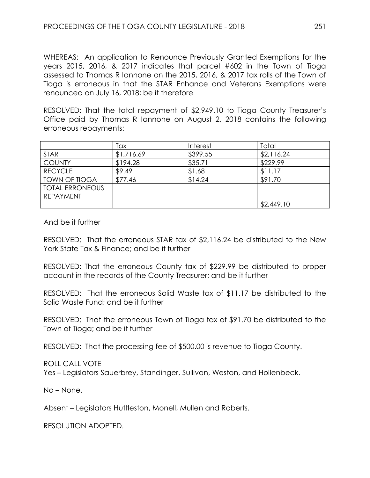WHEREAS: An application to Renounce Previously Granted Exemptions for the years 2015, 2016, & 2017 indicates that parcel #602 in the Town of Tioga assessed to Thomas R Iannone on the 2015, 2016, & 2017 tax rolls of the Town of Tioga is erroneous in that the STAR Enhance and Veterans Exemptions were renounced on July 16, 2018; be it therefore

RESOLVED: That the total repayment of \$2,949.10 to Tioga County Treasurer's Office paid by Thomas R Iannone on August 2, 2018 contains the following erroneous repayments:

|                        | Tax        | Interest | Total      |
|------------------------|------------|----------|------------|
| <b>STAR</b>            | \$1,716.69 | \$399.55 | \$2,116.24 |
| <b>COUNTY</b>          | \$194.28   | \$35.71  | \$229.99   |
| <b>RECYCLE</b>         | \$9.49     | \$1.68   | \$11.17    |
| <b>TOWN OF TIOGA</b>   | \$77.46    | \$14.24  | \$91.70    |
| <b>TOTAL ERRONEOUS</b> |            |          |            |
| <b>REPAYMENT</b>       |            |          |            |
|                        |            |          | \$2,449.10 |

And be it further

RESOLVED: That the erroneous STAR tax of \$2,116.24 be distributed to the New York State Tax & Finance; and be it further

RESOLVED: That the erroneous County tax of \$229.99 be distributed to proper account in the records of the County Treasurer; and be it further

RESOLVED: That the erroneous Solid Waste tax of \$11.17 be distributed to the Solid Waste Fund; and be it further

RESOLVED: That the erroneous Town of Tioga tax of \$91.70 be distributed to the Town of Tioga; and be it further

RESOLVED: That the processing fee of \$500.00 is revenue to Tioga County.

ROLL CALL VOTE

Yes – Legislators Sauerbrey, Standinger, Sullivan, Weston, and Hollenbeck.

No – None.

Absent – Legislators Huttleston, Monell, Mullen and Roberts.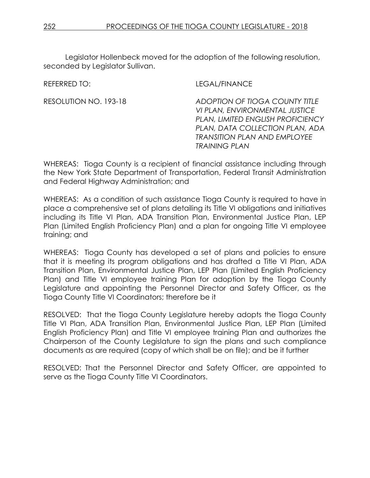Legislator Hollenbeck moved for the adoption of the following resolution, seconded by Legislator Sullivan.

REFERRED TO: LEGAL/FINANCE

RESOLUTION NO. 193-18 *ADOPTION OF TIOGA COUNTY TITLE VI PLAN, ENVIRONMENTAL JUSTICE PLAN, LIMITED ENGLISH PROFICIENCY PLAN, DATA COLLECTION PLAN, ADA TRANSITION PLAN AND EMPLOYEE TRAINING PLAN*

WHEREAS: Tioga County is a recipient of financial assistance including through the New York State Department of Transportation, Federal Transit Administration and Federal Highway Administration; and

WHEREAS: As a condition of such assistance Tioga County is required to have in place a comprehensive set of plans detailing its Title VI obligations and initiatives including its Title VI Plan, ADA Transition Plan, Environmental Justice Plan, LEP Plan (Limited English Proficiency Plan) and a plan for ongoing Title VI employee training; and

WHEREAS: Tioga County has developed a set of plans and policies to ensure that it is meeting its program obligations and has drafted a Title VI Plan, ADA Transition Plan, Environmental Justice Plan, LEP Plan (Limited English Proficiency Plan) and Title VI employee training Plan for adoption by the Tioga County Legislature and appointing the Personnel Director and Safety Officer, as the Tioga County Title VI Coordinators; therefore be it

RESOLVED: That the Tioga County Legislature hereby adopts the Tioga County Title VI Plan, ADA Transition Plan, Environmental Justice Plan, LEP Plan (Limited English Proficiency Plan) and Title VI employee training Plan and authorizes the Chairperson of the County Legislature to sign the plans and such compliance documents as are required (copy of which shall be on file); and be it further

RESOLVED: That the Personnel Director and Safety Officer, are appointed to serve as the Tioga County Title VI Coordinators.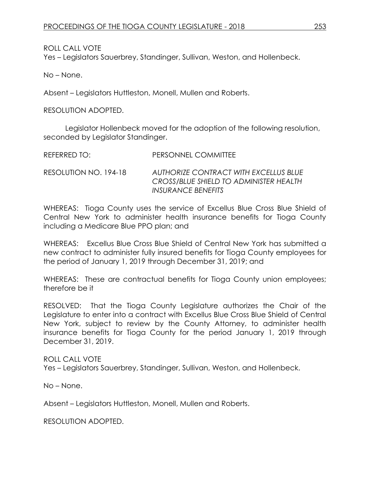ROLL CALL VOTE Yes – Legislators Sauerbrey, Standinger, Sullivan, Weston, and Hollenbeck.

No – None.

Absent – Legislators Huttleston, Monell, Mullen and Roberts.

RESOLUTION ADOPTED.

Legislator Hollenbeck moved for the adoption of the following resolution, seconded by Legislator Standinger.

| REFERRED TO:          | PERSONNEL COMMITTEE                                                                                          |
|-----------------------|--------------------------------------------------------------------------------------------------------------|
| RESOLUTION NO. 194-18 | AUTHORIZE CONTRACT WITH EXCELLUS BLUE<br>CROSS/BLUE SHIELD TO ADMINISTER HEALTH<br><b>INSURANCE BENEFITS</b> |

WHEREAS: Tioga County uses the service of Excellus Blue Cross Blue Shield of Central New York to administer health insurance benefits for Tioga County including a Medicare Blue PPO plan; and

WHEREAS: Excellus Blue Cross Blue Shield of Central New York has submitted a new contract to administer fully insured benefits for Tioga County employees for the period of January 1, 2019 through December 31, 2019; and

WHEREAS: These are contractual benefits for Tioga County union employees; therefore be it

RESOLVED: That the Tioga County Legislature authorizes the Chair of the Legislature to enter into a contract with Excellus Blue Cross Blue Shield of Central New York, subject to review by the County Attorney, to administer health insurance benefits for Tioga County for the period January 1, 2019 through December 31, 2019.

ROLL CALL VOTE Yes – Legislators Sauerbrey, Standinger, Sullivan, Weston, and Hollenbeck.

No – None.

Absent – Legislators Huttleston, Monell, Mullen and Roberts.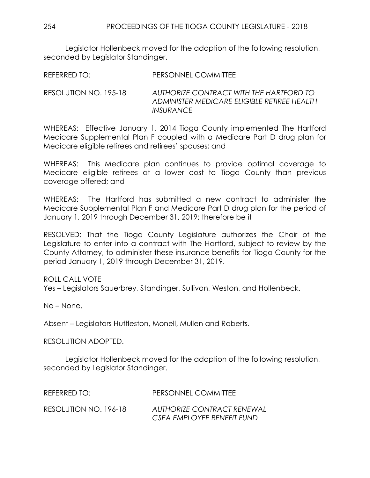Legislator Hollenbeck moved for the adoption of the following resolution, seconded by Legislator Standinger.

REFERRED TO: PERSONNEL COMMITTEE

RESOLUTION NO. 195-18 *AUTHORIZE CONTRACT WITH THE HARTFORD TO ADMINISTER MEDICARE ELIGIBLE RETIREE HEALTH INSURANCE*

WHEREAS: Effective January 1, 2014 Tioga County implemented The Hartford Medicare Supplemental Plan F coupled with a Medicare Part D drug plan for Medicare eligible retirees and retirees' spouses; and

WHEREAS: This Medicare plan continues to provide optimal coverage to Medicare eligible retirees at a lower cost to Tioga County than previous coverage offered; and

WHEREAS: The Hartford has submitted a new contract to administer the Medicare Supplemental Plan F and Medicare Part D drug plan for the period of January 1, 2019 through December 31, 2019; therefore be it

RESOLVED: That the Tioga County Legislature authorizes the Chair of the Legislature to enter into a contract with The Hartford, subject to review by the County Attorney, to administer these insurance benefits for Tioga County for the period January 1, 2019 through December 31, 2019.

ROLL CALL VOTE

Yes – Legislators Sauerbrey, Standinger, Sullivan, Weston, and Hollenbeck.

No – None.

Absent – Legislators Huttleston, Monell, Mullen and Roberts.

RESOLUTION ADOPTED.

Legislator Hollenbeck moved for the adoption of the following resolution, seconded by Legislator Standinger.

REFERRED TO: PERSONNEL COMMITTEE RESOLUTION NO. 196-18 *AUTHORIZE CONTRACT RENEWAL CSEA EMPLOYEE BENEFIT FUND*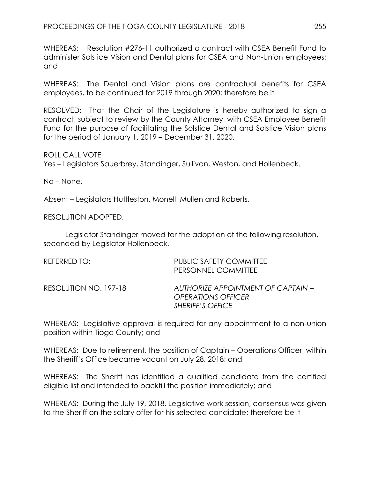WHEREAS: Resolution #276-11 authorized a contract with CSEA Benefit Fund to administer Solstice Vision and Dental plans for CSEA and Non-Union employees; and

WHEREAS: The Dental and Vision plans are contractual benefits for CSEA employees, to be continued for 2019 through 2020; therefore be it

RESOLVED: That the Chair of the Legislature is hereby authorized to sign a contract, subject to review by the County Attorney, with CSEA Employee Benefit Fund for the purpose of facilitating the Solstice Dental and Solstice Vision plans for the period of January 1, 2019 – December 31, 2020.

ROLL CALL VOTE Yes – Legislators Sauerbrey, Standinger, Sullivan, Weston, and Hollenbeck.

No – None.

Absent – Legislators Huttleston, Monell, Mullen and Roberts.

RESOLUTION ADOPTED.

Legislator Standinger moved for the adoption of the following resolution, seconded by Legislator Hollenbeck.

| REFERRED TO:          | PUBLIC SAFETY COMMITTEE<br>PERSONNEL COMMITTEE                                             |
|-----------------------|--------------------------------------------------------------------------------------------|
| RESOLUTION NO. 197-18 | AUTHORIZE APPOINTMENT OF CAPTAIN –<br><i><b>OPERATIONS OFFICER</b></i><br>SHERIFF'S OFFICE |

WHEREAS: Legislative approval is required for any appointment to a non-union position within Tioga County; and

WHEREAS: Due to retirement, the position of Captain – Operations Officer, within the Sheriff's Office became vacant on July 28, 2018; and

WHEREAS: The Sheriff has identified a qualified candidate from the certified eligible list and intended to backfill the position immediately; and

WHEREAS: During the July 19, 2018, Legislative work session, consensus was given to the Sheriff on the salary offer for his selected candidate; therefore be it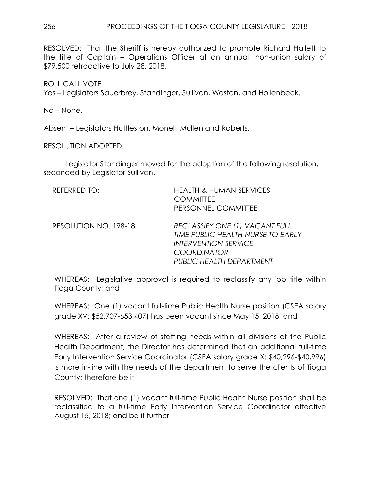RESOLVED: That the Sheriff is hereby authorized to promote Richard Hallett to the title of Captain – Operations Officer at an annual, non-union salary of \$79,500 retroactive to July 28, 2018.

ROLL CALL VOTE

Yes – Legislators Sauerbrey, Standinger, Sullivan, Weston, and Hollenbeck.

No – None.

Absent – Legislators Huttleston, Monell, Mullen and Roberts.

RESOLUTION ADOPTED.

Legislator Standinger moved for the adoption of the following resolution, seconded by Legislator Sullivan.

| REFERRED TO:          | <b>HEALTH &amp; HUMAN SERVICES</b><br><b>COMMITTEE</b><br>PERSONNEL COMMITTEE                                                                        |
|-----------------------|------------------------------------------------------------------------------------------------------------------------------------------------------|
| RESOLUTION NO. 198-18 | RECLASSIFY ONE (1) VACANT FULL<br>TIME PUBLIC HEALTH NURSE TO EARLY<br><b>INTERVENTION SERVICE</b><br><b>COORDINATOR</b><br>PUBLIC HEALTH DEPARTMENT |

WHEREAS: Legislative approval is required to reclassify any job title within Tioga County; and

WHEREAS: One (1) vacant full-time Public Health Nurse position (CSEA salary grade XV: \$52,707-\$53,407) has been vacant since May 15, 2018; and

WHEREAS: After a review of staffing needs within all divisions of the Public Health Department, the Director has determined that an additional full-time Early Intervention Service Coordinator (CSEA salary grade X: \$40,296-\$40,996) is more in-line with the needs of the department to serve the clients of Tioga County; therefore be it

RESOLVED: That one (1) vacant full-time Public Health Nurse position shall be reclassified to a full-time Early Intervention Service Coordinator effective August 15, 2018; and be it further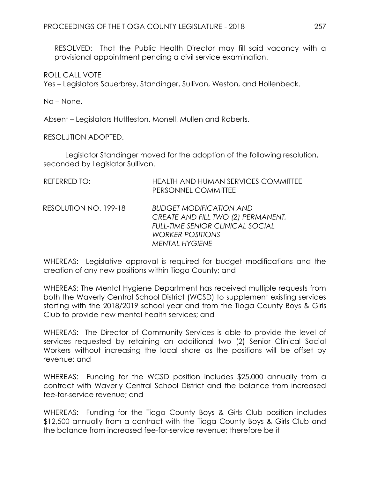RESOLVED: That the Public Health Director may fill said vacancy with a provisional appointment pending a civil service examination.

ROLL CALL VOTE

Yes – Legislators Sauerbrey, Standinger, Sullivan, Weston, and Hollenbeck.

No – None.

Absent – Legislators Huttleston, Monell, Mullen and Roberts.

RESOLUTION ADOPTED.

Legislator Standinger moved for the adoption of the following resolution, seconded by Legislator Sullivan.

| <b>REFERRED TO:</b>   | <b>HEALTH AND HUMAN SERVICES COMMITTEE</b><br>PERSONNEL COMMITTEE                                                                                                   |
|-----------------------|---------------------------------------------------------------------------------------------------------------------------------------------------------------------|
| RESOLUTION NO. 199-18 | <b>BUDGET MODIFICATION AND</b><br>CREATE AND FILL TWO (2) PERMANENT,<br><b>FULL-TIME SENIOR CLINICAL SOCIAL</b><br><b>WORKER POSITIONS</b><br><b>MENTAL HYGIENE</b> |

WHEREAS: Legislative approval is required for budget modifications and the creation of any new positions within Tioga County; and

WHEREAS: The Mental Hygiene Department has received multiple requests from both the Waverly Central School District (WCSD) to supplement existing services starting with the 2018/2019 school year and from the Tioga County Boys & Girls Club to provide new mental health services; and

WHEREAS: The Director of Community Services is able to provide the level of services requested by retaining an additional two (2) Senior Clinical Social Workers without increasing the local share as the positions will be offset by revenue; and

WHEREAS: Funding for the WCSD position includes \$25,000 annually from a contract with Waverly Central School District and the balance from increased fee-for-service revenue; and

WHEREAS: Funding for the Tioga County Boys & Girls Club position includes \$12,500 annually from a contract with the Tioga County Boys & Girls Club and the balance from increased fee-for-service revenue; therefore be it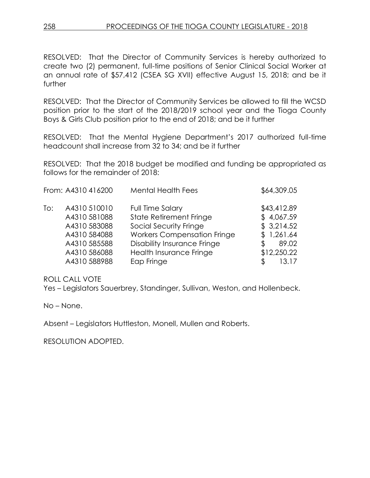RESOLVED: That the Director of Community Services is hereby authorized to create two (2) permanent, full-time positions of Senior Clinical Social Worker at an annual rate of \$57,412 (CSEA SG XVII) effective August 15, 2018; and be it further

RESOLVED: That the Director of Community Services be allowed to fill the WCSD position prior to the start of the 2018/2019 school year and the Tioga County Boys & Girls Club position prior to the end of 2018; and be it further

RESOLVED: That the Mental Hygiene Department's 2017 authorized full-time headcount shall increase from 32 to 34; and be it further

RESOLVED: That the 2018 budget be modified and funding be appropriated as follows for the remainder of 2018:

|     | From: A4310 416200 | <b>Mental Health Fees</b>          | \$64,309.05 |
|-----|--------------------|------------------------------------|-------------|
| To: | A4310 510010       | <b>Full Time Salary</b>            | \$43,412.89 |
|     | A4310 581088       | <b>State Retirement Fringe</b>     | \$4,067.59  |
|     | A4310 583088       | Social Security Fringe             | \$3,214.52  |
|     | A4310 584088       | <b>Workers Compensation Fringe</b> | \$1,261.64  |
|     | A4310 585588       | <b>Disability Insurance Fringe</b> | 89.02<br>S  |
|     | A4310 586088       | Health Insurance Fringe            | \$12,250.22 |
|     | A4310 588988       | Eap Fringe                         | 13.17       |

ROLL CALL VOTE

Yes – Legislators Sauerbrey, Standinger, Sullivan, Weston, and Hollenbeck.

No – None.

Absent – Legislators Huttleston, Monell, Mullen and Roberts.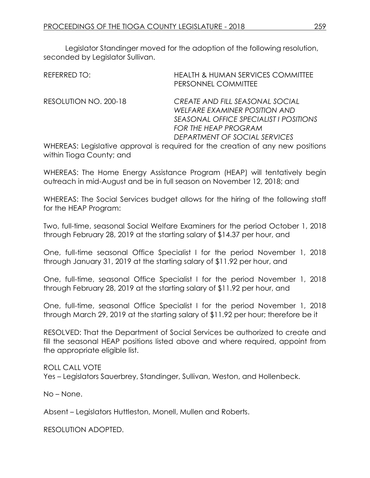Legislator Standinger moved for the adoption of the following resolution, seconded by Legislator Sullivan.

| REFERRED TO:          | <b>HEALTH &amp; HUMAN SERVICES COMMITTEE</b><br>PERSONNEL COMMITTEE             |
|-----------------------|---------------------------------------------------------------------------------|
| RESOLUTION NO. 200-18 | CREATE AND FILL SEASONAL SOCIAL                                                 |
|                       | WELFARE EXAMINER POSITION AND                                                   |
|                       | SEASONAL OFFICE SPECIALIST I POSITIONS                                          |
|                       | <b>FOR THE HEAP PROGRAM</b>                                                     |
|                       | DEPARTMENT OF SOCIAL SERVICES                                                   |
|                       | WHEREAS: Legislative approval is required for the creation of any new positions |

WHEREAS: Legislative approval is required for the creation of any new positions within Tioga County; and

WHEREAS: The Home Energy Assistance Program (HEAP) will tentatively begin outreach in mid-August and be in full season on November 12, 2018; and

WHEREAS: The Social Services budget allows for the hiring of the following staff for the HEAP Program:

Two, full-time, seasonal Social Welfare Examiners for the period October 1, 2018 through February 28, 2019 at the starting salary of \$14.37 per hour, and

One, full-time seasonal Office Specialist I for the period November 1, 2018 through January 31, 2019 at the starting salary of \$11.92 per hour, and

One, full-time, seasonal Office Specialist I for the period November 1, 2018 through February 28, 2019 at the starting salary of \$11.92 per hour, and

One, full-time, seasonal Office Specialist I for the period November 1, 2018 through March 29, 2019 at the starting salary of \$11.92 per hour; therefore be it

RESOLVED: That the Department of Social Services be authorized to create and fill the seasonal HEAP positions listed above and where required, appoint from the appropriate eligible list.

ROLL CALL VOTE Yes – Legislators Sauerbrey, Standinger, Sullivan, Weston, and Hollenbeck.

No – None.

Absent – Legislators Huttleston, Monell, Mullen and Roberts.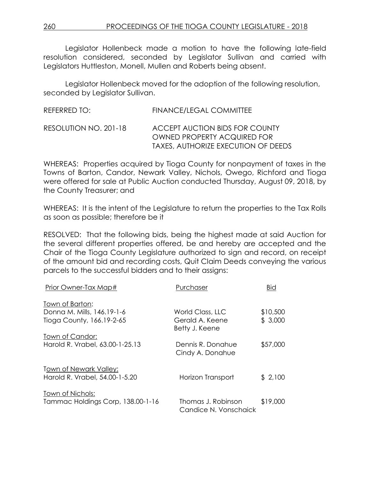Legislator Hollenbeck made a motion to have the following late-field resolution considered, seconded by Legislator Sullivan and carried with Legislators Huttleston, Monell, Mullen and Roberts being absent.

Legislator Hollenbeck moved for the adoption of the following resolution, seconded by Legislator Sullivan.

| REFERRED TO:          | FINANCE/LEGAL COMMITTEE                                                                                            |
|-----------------------|--------------------------------------------------------------------------------------------------------------------|
| RESOLUTION NO. 201-18 | <b>ACCEPT AUCTION BIDS FOR COUNTY</b><br><b>OWNED PROPERTY ACQUIRED FOR</b><br>TAXES, AUTHORIZE EXECUTION OF DEEDS |

WHEREAS: Properties acquired by Tioga County for nonpayment of taxes in the Towns of Barton, Candor, Newark Valley, Nichols, Owego, Richford and Tioga were offered for sale at Public Auction conducted Thursday, August 09, 2018, by the County Treasurer; and

WHEREAS: It is the intent of the Legislature to return the properties to the Tax Rolls as soon as possible; therefore be it

RESOLVED: That the following bids, being the highest made at said Auction for the several different properties offered, be and hereby are accepted and the Chair of the Tioga County Legislature authorized to sign and record, on receipt of the amount bid and recording costs, Quit Claim Deeds conveying the various parcels to the successful bidders and to their assigns:

| Prior Owner-Tax Map#                                     | Purchaser                                   | <b>Bid</b> |
|----------------------------------------------------------|---------------------------------------------|------------|
| Town of Barton:                                          |                                             |            |
| Donna M. Mills, 146.19-1-6                               | World Class, LLC                            | \$10,500   |
| Tioga County, 166.19-2-65                                | Gerald A. Keene<br>Betty J. Keene           | \$3,000    |
| Town of Candor:                                          |                                             |            |
| Harold R. Vrabel, 63.00-1-25.13                          | Dennis R. Donahue<br>Cindy A. Donahue       | \$57,000   |
| Town of Newark Valley:<br>Harold R. Vrabel, 54.00-1-5.20 | Horizon Transport                           | \$2,100    |
| <u>Town of Nichols:</u>                                  |                                             |            |
| Tammac Holdings Corp, 138.00-1-16                        | Thomas J. Robinson<br>Candice N. Vonschaick | \$19,000   |